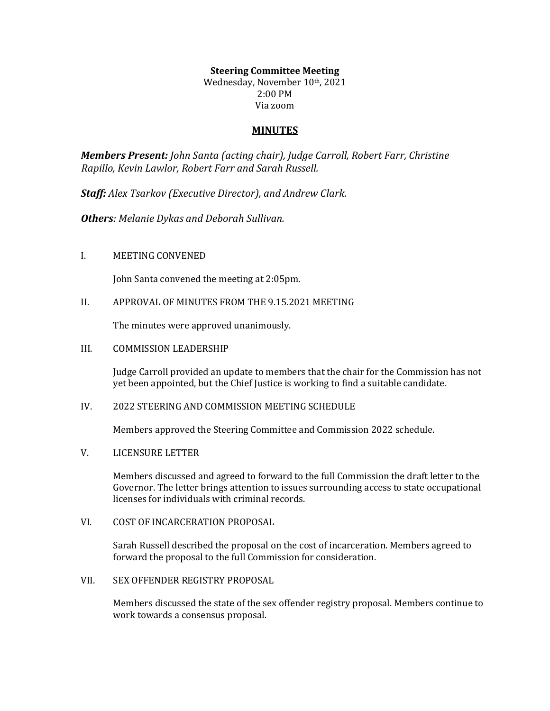# **Steering Committee Meeting**

Wednesday, November 10th, 2021 2:00 PM Via zoom

#### **MINUTES**

*Members Present: John Santa (acting chair), Judge Carroll, Robert Farr, Christine Rapillo, Kevin Lawlor, Robert Farr and Sarah Russell.*

*Staff: Alex Tsarkov (Executive Director), and Andrew Clark.*

*Others: Melanie Dykas and Deborah Sullivan.*

#### I. MEETING CONVENED

John Santa convened the meeting at 2:05pm.

II. APPROVAL OF MINUTES FROM THE 9.15.2021 MEETING

The minutes were approved unanimously.

III. COMMISSION LEADERSHIP

Judge Carroll provided an update to members that the chair for the Commission has not yet been appointed, but the Chief Justice is working to find a suitable candidate.

IV. 2022 STEERING AND COMMISSION MEETING SCHEDULE

Members approved the Steering Committee and Commission 2022 schedule.

V. LICENSURE LETTER

Members discussed and agreed to forward to the full Commission the draft letter to the Governor. The letter brings attention to issues surrounding access to state occupational licenses for individuals with criminal records.

VI. COST OF INCARCERATION PROPOSAL

Sarah Russell described the proposal on the cost of incarceration. Members agreed to forward the proposal to the full Commission for consideration.

VII. SEX OFFENDER REGISTRY PROPOSAL

Members discussed the state of the sex offender registry proposal. Members continue to work towards a consensus proposal.